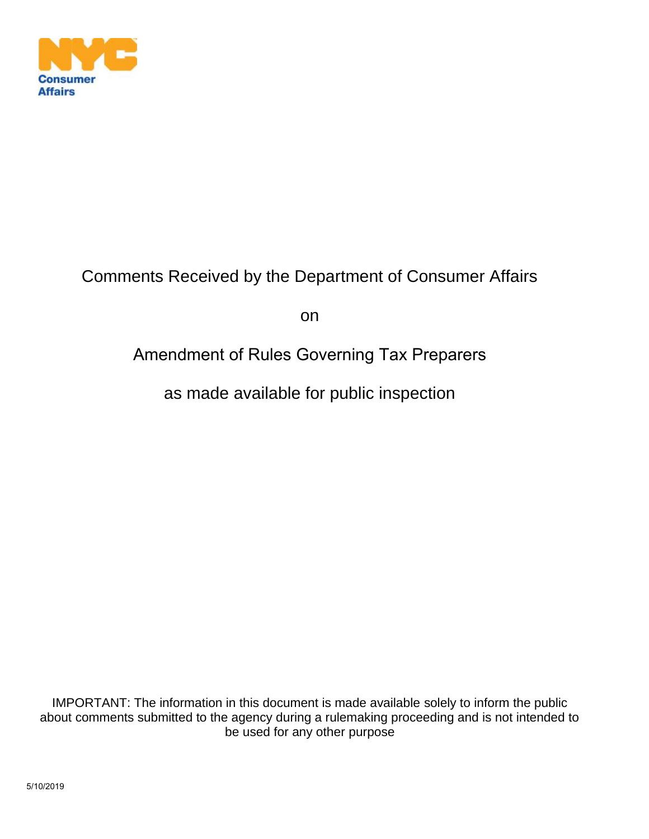

## Comments Received by the Department of Consumer Affairs

on

## Amendment of Rules Governing Tax Preparers

as made available for public inspection

IMPORTANT: The information in this document is made available solely to inform the public about comments submitted to the agency during a rulemaking proceeding and is not intended to be used for any other purpose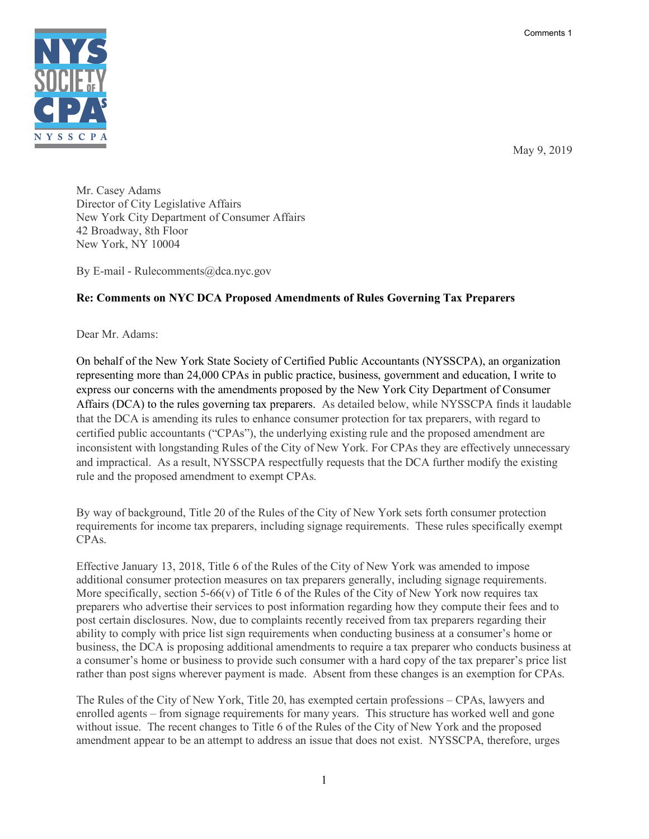Comments 1



May 9, 2019

Mr. Casey Adams Director of City Legislative Affairs New York City Department of Consumer Affairs 42 Broadway, 8th Floor New York, NY 10004

By E-mail - Rulecomments@dca.nyc.gov

## **Re: Comments on NYC DCA Proposed Amendments of Rules Governing Tax Preparers**

Dear Mr. Adams:

On behalf of the New York State Society of Certified Public Accountants (NYSSCPA), an organization representing more than 24,000 CPAs in public practice, business, government and education, I write to express our concerns with the amendments proposed by the New York City Department of Consumer Affairs (DCA) to the rules governing tax preparers. As detailed below, while NYSSCPA finds it laudable that the DCA is amending its rules to enhance consumer protection for tax preparers, with regard to certified public accountants ("CPAs"), the underlying existing rule and the proposed amendment are inconsistent with longstanding Rules of the City of New York. For CPAs they are effectively unnecessary and impractical. As a result, NYSSCPA respectfully requests that the DCA further modify the existing rule and the proposed amendment to exempt CPAs.

By way of background, Title 20 of the Rules of the City of New York sets forth consumer protection requirements for income tax preparers, including signage requirements. These rules specifically exempt CPAs.

Effective January 13, 2018, Title 6 of the Rules of the City of New York was amended to impose additional consumer protection measures on tax preparers generally, including signage requirements. More specifically, section  $5-66(y)$  of Title 6 of the Rules of the City of New York now requires tax preparers who advertise their services to post information regarding how they compute their fees and to post certain disclosures. Now, due to complaints recently received from tax preparers regarding their ability to comply with price list sign requirements when conducting business at a consumer's home or business, the DCA is proposing additional amendments to require a tax preparer who conducts business at a consumer's home or business to provide such consumer with a hard copy of the tax preparer's price list rather than post signs wherever payment is made. Absent from these changes is an exemption for CPAs.

The Rules of the City of New York, Title 20, has exempted certain professions – CPAs, lawyers and enrolled agents – from signage requirements for many years. This structure has worked well and gone without issue. The recent changes to Title 6 of the Rules of the City of New York and the proposed amendment appear to be an attempt to address an issue that does not exist. NYSSCPA, therefore, urges